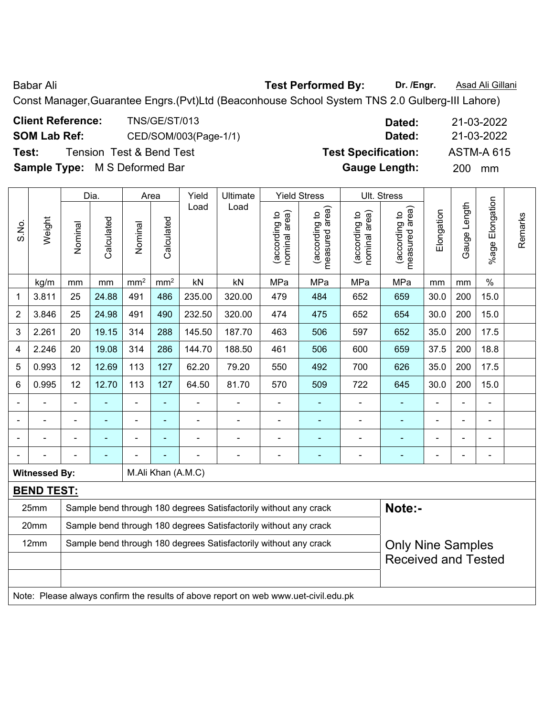Babar Ali **Babar Ali Rest Performed By:** Dr. /Engr. **Asad Ali Gillani** 

Const Manager,Guarantee Engrs.(Pvt)Ltd (Beaconhouse School System TNS 2.0 Gulberg-III Lahore)

| <b>Client Reference:</b>             | <b>TNS/GE/ST/013</b>                | Dated:                     | 21-03-2022        |
|--------------------------------------|-------------------------------------|----------------------------|-------------------|
| <b>SOM Lab Ref:</b>                  | CED/SOM/003(Page-1/1)               | Dated:                     | 21-03-2022        |
| Test:                                | <b>Tension Test &amp; Bend Test</b> | <b>Test Specification:</b> | <b>ASTM-A 615</b> |
| <b>Sample Type:</b> M S Deformed Bar |                                     | <b>Gauge Length:</b>       | <b>200</b><br>mm  |

|                |                      |         | Dia.       |                 | Area               | Yield  | Ultimate                                                                            |                                | <b>Yield Stress</b>             |                                | Ult. Stress                        |            |                |                        |         |
|----------------|----------------------|---------|------------|-----------------|--------------------|--------|-------------------------------------------------------------------------------------|--------------------------------|---------------------------------|--------------------------------|------------------------------------|------------|----------------|------------------------|---------|
| S.No.          | Weight               | Nominal | Calculated | Nominal         | Calculated         | Load   | Load                                                                                | nominal area)<br>(according to | measured area)<br>(according to | (according to<br>nominal area) | area)<br>(according to<br>measured | Elongation | Gauge Length   | <b>%age Elongation</b> | Remarks |
|                | kg/m                 | mm      | mm         | mm <sup>2</sup> | mm <sup>2</sup>    | kN     | kN                                                                                  | MPa                            | MPa                             | MPa                            | MPa                                | mm         | mm             | $\%$                   |         |
| 1              | 3.811                | 25      | 24.88      | 491             | 486                | 235.00 | 320.00                                                                              | 479                            | 484                             | 652                            | 659                                | 30.0       | 200            | 15.0                   |         |
| $\overline{2}$ | 3.846                | 25      | 24.98      | 491             | 490                | 232.50 | 320.00                                                                              | 474                            | 475                             | 652                            | 654                                | 30.0       | 200            | 15.0                   |         |
| 3              | 2.261                | 20      | 19.15      | 314             | 288                | 145.50 | 187.70                                                                              | 463                            | 506                             | 597                            | 652                                | 35.0       | 200            | 17.5                   |         |
| 4              | 2.246                | 20      | 19.08      | 314             | 286                | 144.70 | 188.50                                                                              | 461                            | 506                             | 600                            | 659                                | 37.5       | 200            | 18.8                   |         |
| 5              | 0.993                | 12      | 12.69      | 113             | 127                | 62.20  | 79.20                                                                               | 550                            | 492                             | 700                            | 626                                | 35.0       | 200            | 17.5                   |         |
| 6              | 0.995                | 12      | 12.70      | 113             | 127                | 64.50  | 81.70                                                                               | 570                            | 509                             | 722                            | 645                                | 30.0       | 200            | 15.0                   |         |
|                |                      |         | L,         | $\blacksquare$  | ÷                  |        | ä,                                                                                  | $\blacksquare$                 | ٠                               |                                |                                    |            |                | $\blacksquare$         |         |
|                |                      |         | ÷          | $\blacksquare$  | ÷                  |        | ÷                                                                                   |                                | ۰                               |                                | $\blacksquare$                     |            | $\blacksquare$ | $\blacksquare$         |         |
|                |                      |         |            |                 |                    |        |                                                                                     |                                |                                 |                                | ٠                                  |            |                |                        |         |
|                |                      |         |            |                 |                    |        |                                                                                     |                                |                                 |                                |                                    |            |                | $\blacksquare$         |         |
|                | <b>Witnessed By:</b> |         |            |                 | M.Ali Khan (A.M.C) |        |                                                                                     |                                |                                 |                                |                                    |            |                |                        |         |
|                | <b>BEND TEST:</b>    |         |            |                 |                    |        |                                                                                     |                                |                                 |                                |                                    |            |                |                        |         |
|                | 25mm                 |         |            |                 |                    |        | Sample bend through 180 degrees Satisfactorily without any crack                    |                                |                                 |                                | Note:-                             |            |                |                        |         |
|                | 20mm                 |         |            |                 |                    |        | Sample bend through 180 degrees Satisfactorily without any crack                    |                                |                                 |                                |                                    |            |                |                        |         |
|                | 12mm                 |         |            |                 |                    |        | Sample bend through 180 degrees Satisfactorily without any crack                    |                                |                                 |                                | <b>Only Nine Samples</b>           |            |                |                        |         |
|                |                      |         |            |                 |                    |        |                                                                                     |                                |                                 |                                | <b>Received and Tested</b>         |            |                |                        |         |
|                |                      |         |            |                 |                    |        |                                                                                     |                                |                                 |                                |                                    |            |                |                        |         |
|                |                      |         |            |                 |                    |        | Note: Please always confirm the results of above report on web www.uet-civil.edu.pk |                                |                                 |                                |                                    |            |                |                        |         |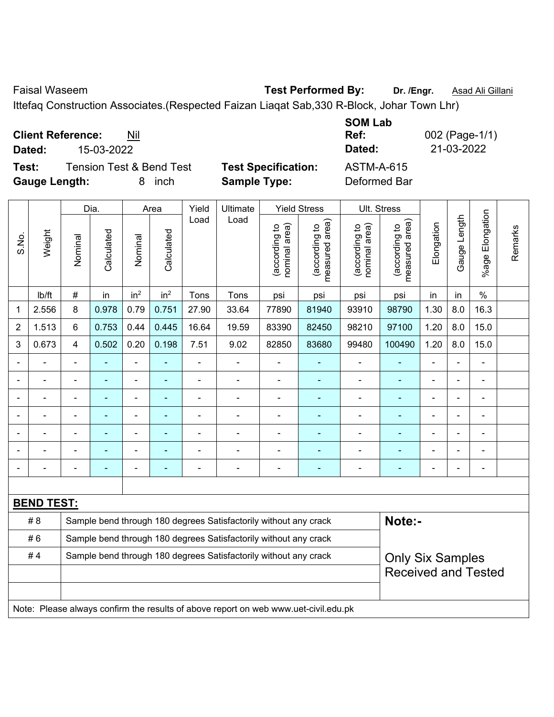Faisal Waseem **Test Performed By:** Dr. /Engr. **Asad Ali Gillani** Cali Ali Gillani

Ittefaq Construction Associates.(Respected Faizan Liaqat Sab,330 R-Block, Johar Town Lhr)

**Client Reference:** Nil

**Test:** Tension Test & Bend Test **Test Specification:** ASTM-A-615 **Gauge Length:** 8 inch **Sample Type:** Deformed Bar

**SOM Lab Ref:** 002 (Page-1/1) **Dated:** 15-03-2022 **Dated:** 21-03-2022

|                |                   |                | Dia.       |                          | Area            | Yield          | Ultimate                                                                            |                                | <b>Yield Stress</b>             |                                | Ult. Stress                     |                              |                |                          |         |
|----------------|-------------------|----------------|------------|--------------------------|-----------------|----------------|-------------------------------------------------------------------------------------|--------------------------------|---------------------------------|--------------------------------|---------------------------------|------------------------------|----------------|--------------------------|---------|
| S.No.          | Weight            | Nominal        | Calculated | Nominal                  | Calculated      | Load           | Load                                                                                | nominal area)<br>(according to | (according to<br>measured area) | nominal area)<br>(according to | (according to<br>measured area) | Elongation                   | Gauge Length   | Elongation<br>$%$ age    | Remarks |
|                | lb/ft             | $\#$           | in         | in <sup>2</sup>          | in <sup>2</sup> | Tons           | Tons                                                                                | psi                            | psi                             | psi                            | psi                             | in                           | in             | $\%$                     |         |
| 1              | 2.556             | 8              | 0.978      | 0.79                     | 0.751           | 27.90          | 33.64                                                                               | 77890                          | 81940                           | 93910                          | 98790                           | 1.30                         | 8.0            | 16.3                     |         |
| $\overline{2}$ | 1.513             | 6              | 0.753      | 0.44                     | 0.445           | 16.64          | 19.59                                                                               | 83390                          | 82450                           | 98210                          | 97100                           | 1.20                         | 8.0            | 15.0                     |         |
| 3              | 0.673             | $\overline{4}$ | 0.502      | 0.20                     | 0.198           | 7.51           | 9.02                                                                                | 82850                          | 83680                           | 99480                          | 100490                          | 1.20                         | 8.0            | 15.0                     |         |
|                |                   | $\blacksquare$ |            | $\blacksquare$           |                 | $\blacksquare$ | $\blacksquare$                                                                      |                                |                                 |                                |                                 |                              |                | ä,                       |         |
|                |                   | ä,             | ÷.         | $\overline{\phantom{0}}$ | ÷               | $\overline{a}$ | $\blacksquare$                                                                      | $\blacksquare$                 | $\blacksquare$                  | $\blacksquare$                 | $\blacksquare$                  | $\blacksquare$               | $\blacksquare$ | ÷                        |         |
|                |                   | $\blacksquare$ | ÷          | $\blacksquare$           |                 | $\blacksquare$ | $\frac{1}{2}$                                                                       | $\blacksquare$                 | ۰                               | $\overline{\phantom{a}}$       | ÷                               | $\blacksquare$               |                | $\blacksquare$           |         |
|                |                   | ä,             | ä,         | $\blacksquare$           | ۰               | $\blacksquare$ | L.                                                                                  | $\blacksquare$                 | ٠                               | $\blacksquare$                 | ÷,                              | $\blacksquare$               |                | $\overline{\phantom{0}}$ |         |
|                |                   |                |            |                          |                 |                |                                                                                     |                                |                                 |                                |                                 |                              |                |                          |         |
|                |                   |                |            |                          |                 |                | -                                                                                   | $\blacksquare$                 |                                 |                                |                                 |                              |                | ÷                        |         |
|                |                   |                |            | ÷                        | ۰               |                | $\overline{\phantom{a}}$                                                            | $\blacksquare$                 | $\blacksquare$                  | $\overline{\phantom{a}}$       | $\blacksquare$                  | $\qquad \qquad \blacksquare$ |                | $\blacksquare$           |         |
|                |                   |                |            |                          |                 |                |                                                                                     |                                |                                 |                                |                                 |                              |                |                          |         |
|                | <b>BEND TEST:</b> |                |            |                          |                 |                |                                                                                     |                                |                                 |                                |                                 |                              |                |                          |         |
|                | #8                |                |            |                          |                 |                | Sample bend through 180 degrees Satisfactorily without any crack                    |                                |                                 |                                | Note:-                          |                              |                |                          |         |
|                | #6                |                |            |                          |                 |                | Sample bend through 180 degrees Satisfactorily without any crack                    |                                |                                 |                                |                                 |                              |                |                          |         |
|                | #4                |                |            |                          |                 |                | Sample bend through 180 degrees Satisfactorily without any crack                    |                                |                                 |                                | <b>Only Six Samples</b>         |                              |                |                          |         |
|                |                   |                |            |                          |                 |                |                                                                                     |                                |                                 |                                | <b>Received and Tested</b>      |                              |                |                          |         |
|                |                   |                |            |                          |                 |                |                                                                                     |                                |                                 |                                |                                 |                              |                |                          |         |
|                |                   |                |            |                          |                 |                | Note: Please always confirm the results of above report on web www.uet-civil.edu.pk |                                |                                 |                                |                                 |                              |                |                          |         |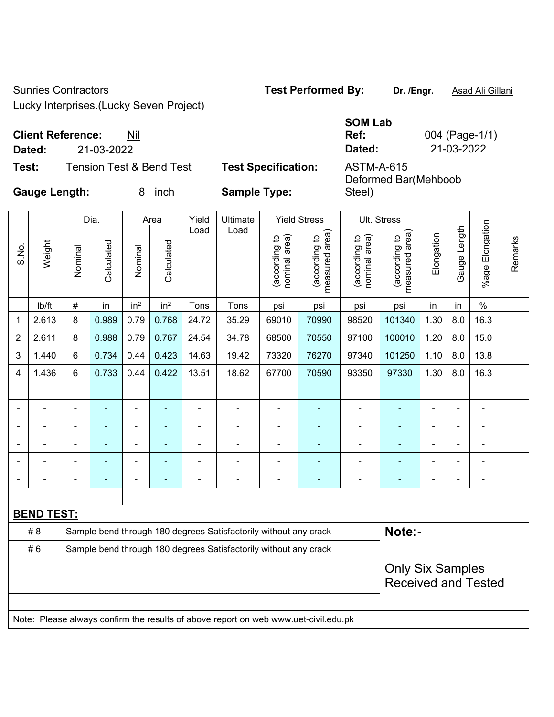Sunries Contractors **Test Performed By:** Dr. /Engr. **Asad Ali Gillani** 

Steel)

Lucky Interprises.(Lucky Seven Project)

## **Client Reference:** Nil

| Test: | Tension Test & Bend Test | <b>Test Specification:</b> | <b>ASTM-A-615</b> |
|-------|--------------------------|----------------------------|-------------------|

|                          |            | <b>SOM Lab</b> |                |
|--------------------------|------------|----------------|----------------|
| <b>Client Reference:</b> | Nil        | Ref:           | 004 (Page-1/1) |
| Dated:                   | 21-03-2022 | Dated:         | 21-03-2022     |
|                          |            |                |                |

Deformed Bar(Mehboob

**Gauge Length:** 8 inch **Sample Type:** 

|                |                                                                                  | Dia.<br>Yield<br>Ultimate<br><b>Yield Stress</b><br>Area |                |                 |                 |       |                                                                                     | <b>Ult. Stress</b>             |                                 |                                |                                 |                |                |                         |         |
|----------------|----------------------------------------------------------------------------------|----------------------------------------------------------|----------------|-----------------|-----------------|-------|-------------------------------------------------------------------------------------|--------------------------------|---------------------------------|--------------------------------|---------------------------------|----------------|----------------|-------------------------|---------|
| S.No.          | Weight                                                                           | Nominal                                                  | Calculated     | Nominal         | Calculated      | Load  | Load                                                                                | nominal area)<br>(according to | (according to<br>measured area) | nominal area)<br>(according to | (according to<br>measured area) | Elongation     | Gauge Length   | Elongation<br>$%$ age I | Remarks |
|                | lb/ft                                                                            | $\#$                                                     | in             | in <sup>2</sup> | in <sup>2</sup> | Tons  | Tons                                                                                | psi                            | psi                             | psi                            | psi                             | in             | in             | $\%$                    |         |
| 1              | 2.613                                                                            | 8                                                        | 0.989          | 0.79            | 0.768           | 24.72 | 35.29                                                                               | 69010                          | 70990                           | 98520                          | 101340                          | 1.30           | 8.0            | 16.3                    |         |
| $\overline{2}$ | 2.611                                                                            | 8                                                        | 0.988          | 0.79            | 0.767           | 24.54 | 34.78                                                                               | 68500                          | 70550                           | 97100                          | 100010                          | 1.20           | 8.0            | 15.0                    |         |
| 3              | 1.440                                                                            | 6                                                        | 0.734          | 0.44            | 0.423           | 14.63 | 19.42                                                                               | 73320                          | 76270                           | 97340                          | 101250                          | 1.10           | 8.0            | 13.8                    |         |
| 4              | 1.436                                                                            | 6                                                        | 0.733          | 0.44            | 0.422           | 13.51 | 18.62                                                                               | 67700                          | 70590                           | 93350                          | 97330                           | 1.30           | 8.0            | 16.3                    |         |
|                |                                                                                  |                                                          |                |                 |                 |       |                                                                                     |                                |                                 |                                | ÷,                              |                |                | ä,                      |         |
|                |                                                                                  |                                                          | $\blacksquare$ |                 |                 |       | $\blacksquare$                                                                      | $\blacksquare$                 |                                 | ۰                              | $\blacksquare$                  |                |                | $\blacksquare$          |         |
|                |                                                                                  |                                                          |                |                 |                 |       | $\blacksquare$                                                                      | $\blacksquare$                 |                                 |                                | ۰                               |                |                |                         |         |
|                |                                                                                  |                                                          | $\blacksquare$ | $\blacksquare$  |                 |       | ÷                                                                                   | $\blacksquare$                 | ÷                               | ÷                              | ۰                               |                | $\overline{a}$ | ÷                       |         |
|                | $\blacksquare$                                                                   | ä,                                                       | $\blacksquare$ | ÷,              |                 | ä,    | ÷                                                                                   | $\blacksquare$                 | ÷                               | ÷,                             | ٠                               | $\blacksquare$ | $\blacksquare$ | $\blacksquare$          |         |
|                |                                                                                  | $\blacksquare$                                           |                | $\blacksquare$  |                 | Ē,    | $\blacksquare$                                                                      | -                              | ۰                               | ÷                              | $\blacksquare$                  | $\blacksquare$ |                | $\blacksquare$          |         |
|                |                                                                                  |                                                          |                |                 |                 |       |                                                                                     |                                |                                 |                                |                                 |                |                |                         |         |
|                | <b>BEND TEST:</b>                                                                |                                                          |                |                 |                 |       |                                                                                     |                                |                                 |                                |                                 |                |                |                         |         |
|                | Note:-<br>#8<br>Sample bend through 180 degrees Satisfactorily without any crack |                                                          |                |                 |                 |       |                                                                                     |                                |                                 |                                |                                 |                |                |                         |         |
|                | #6                                                                               |                                                          |                |                 |                 |       | Sample bend through 180 degrees Satisfactorily without any crack                    |                                |                                 |                                |                                 |                |                |                         |         |
|                |                                                                                  |                                                          |                |                 |                 |       |                                                                                     |                                |                                 |                                | <b>Only Six Samples</b>         |                |                |                         |         |
|                |                                                                                  |                                                          |                |                 |                 |       |                                                                                     |                                |                                 |                                | <b>Received and Tested</b>      |                |                |                         |         |
|                |                                                                                  |                                                          |                |                 |                 |       |                                                                                     |                                |                                 |                                |                                 |                |                |                         |         |
|                |                                                                                  |                                                          |                |                 |                 |       | Note: Please always confirm the results of above report on web www.uet-civil.edu.pk |                                |                                 |                                |                                 |                |                |                         |         |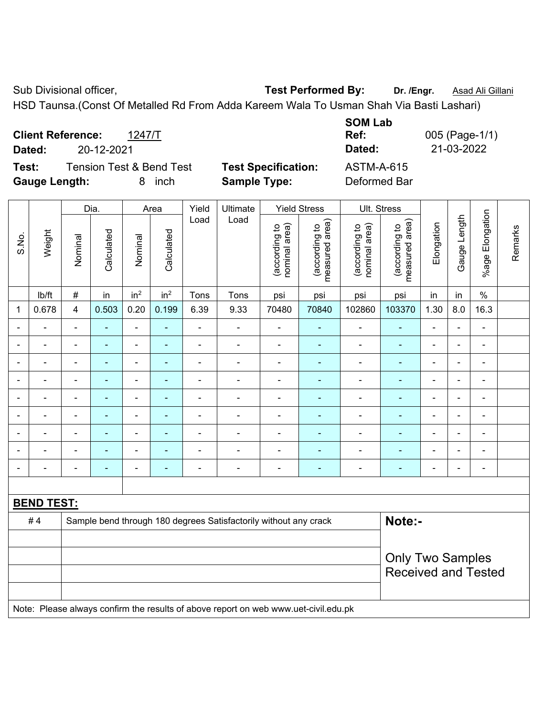Sub Divisional officer, **Test Performed By:** Dr. /Engr. **Asad Ali Gillani** And Divisional officer,

HSD Taunsa.(Const Of Metalled Rd From Adda Kareem Wala To Usman Shah Via Basti Lashari)

| <b>Client Reference:</b><br>Dated: | 20-12-2021                          | 1247/T     |                            | <b>SOM Lab</b><br>Ref:<br>Dated: | 005 (Page-1/1)<br>21-03-2022 |
|------------------------------------|-------------------------------------|------------|----------------------------|----------------------------------|------------------------------|
| Test:                              | <b>Tension Test &amp; Bend Test</b> |            | <b>Test Specification:</b> | <b>ASTM-A-615</b>                |                              |
| <b>Gauge Length:</b>               |                                     | inch<br>8. | <b>Sample Type:</b>        | Deformed Bar                     |                              |

|       |                   |                          | Dia.                     |                              | Area            | Yield          | Ultimate                                                                            |                                | <b>Yield Stress</b>             |                                | Ult. Stress                     |                |                |                         |         |
|-------|-------------------|--------------------------|--------------------------|------------------------------|-----------------|----------------|-------------------------------------------------------------------------------------|--------------------------------|---------------------------------|--------------------------------|---------------------------------|----------------|----------------|-------------------------|---------|
| S.No. | Weight            | Nominal                  | Calculated               | Nominal                      | Calculated      | Load           | Load                                                                                | nominal area)<br>(according to | (according to<br>measured area) | nominal area)<br>(according to | (according to<br>measured area) | Elongation     | Gauge Length   | Elongation<br>$%$ age I | Remarks |
|       | lb/ft             | $\#$                     | in                       | in <sup>2</sup>              | in <sup>2</sup> | Tons           | Tons                                                                                | psi                            | psi                             | psi                            | psi                             | in             | in             | $\%$                    |         |
| 1     | 0.678             | $\overline{4}$           | 0.503                    | 0.20                         | 0.199           | 6.39           | 9.33                                                                                | 70480                          | 70840                           | 102860                         | 103370                          | 1.30           | 8.0            | 16.3                    |         |
|       |                   | ۳                        | $\blacksquare$           | ÷,                           | $\blacksquare$  | $\blacksquare$ | $\blacksquare$                                                                      | $\blacksquare$                 | $\blacksquare$                  | ÷                              | $\blacksquare$                  | $\overline{a}$ |                | $\blacksquare$          |         |
|       | $\blacksquare$    | $\blacksquare$           | $\blacksquare$           | $\qquad \qquad \blacksquare$ | ٠               | $\blacksquare$ | $\blacksquare$                                                                      | $\blacksquare$                 | $\blacksquare$                  | ÷                              | $\blacksquare$                  | $\blacksquare$ | $\blacksquare$ | ä,                      |         |
|       |                   | $\blacksquare$           | $\blacksquare$           | $\overline{\phantom{0}}$     | ٠               | $\blacksquare$ | $\blacksquare$                                                                      | $\qquad \qquad \blacksquare$   | $\blacksquare$                  | $\blacksquare$                 | $\blacksquare$                  | $\blacksquare$ |                | ۰                       |         |
|       | $\blacksquare$    | $\blacksquare$           | $\blacksquare$           | $\frac{1}{2}$                | ٠               | $\blacksquare$ | $\blacksquare$                                                                      | $\blacksquare$                 | ٠                               | $\blacksquare$                 | ÷                               | $\blacksquare$ | $\blacksquare$ | ۰                       |         |
|       | $\blacksquare$    | $\blacksquare$           |                          | $\blacksquare$               | $\blacksquare$  | $\blacksquare$ | $\blacksquare$                                                                      | $\blacksquare$                 | $\blacksquare$                  | $\blacksquare$                 | $\blacksquare$                  |                |                | ä,                      |         |
|       |                   |                          | $\blacksquare$           | $\blacksquare$               |                 | $\blacksquare$ | $\blacksquare$                                                                      | $\blacksquare$                 | $\overline{\phantom{0}}$        | $\overline{\phantom{0}}$       | $\blacksquare$                  | $\blacksquare$ |                | $\blacksquare$          |         |
|       |                   |                          |                          | ÷                            |                 | $\blacksquare$ | $\blacksquare$                                                                      | $\blacksquare$                 |                                 |                                |                                 |                |                |                         |         |
|       |                   |                          |                          | ۰                            | $\blacksquare$  | $\blacksquare$ | $\blacksquare$                                                                      | $\overline{a}$                 | ٠                               | $\overline{\phantom{0}}$       | $\blacksquare$                  |                |                | $\blacksquare$          |         |
|       |                   | $\overline{\phantom{0}}$ | $\overline{\phantom{0}}$ | Ĭ.                           | ٠               | $\blacksquare$ | $\blacksquare$                                                                      | $\blacksquare$                 | $\blacksquare$                  | $\overline{\phantom{a}}$       | $\blacksquare$                  | $\blacksquare$ | $\blacksquare$ | $\blacksquare$          |         |
|       |                   |                          |                          |                              |                 |                |                                                                                     |                                |                                 |                                |                                 |                |                |                         |         |
|       | <b>BEND TEST:</b> |                          |                          |                              |                 |                |                                                                                     |                                |                                 |                                |                                 |                |                |                         |         |
|       | #4                |                          |                          |                              |                 |                | Sample bend through 180 degrees Satisfactorily without any crack                    |                                |                                 |                                | Note:-                          |                |                |                         |         |
|       |                   |                          |                          |                              |                 |                |                                                                                     |                                |                                 |                                |                                 |                |                |                         |         |
|       |                   |                          |                          |                              |                 |                |                                                                                     |                                |                                 |                                | <b>Only Two Samples</b>         |                |                |                         |         |
|       |                   |                          |                          |                              |                 |                |                                                                                     |                                |                                 |                                | <b>Received and Tested</b>      |                |                |                         |         |
|       |                   |                          |                          |                              |                 |                |                                                                                     |                                |                                 |                                |                                 |                |                |                         |         |
|       |                   |                          |                          |                              |                 |                | Note: Please always confirm the results of above report on web www.uet-civil.edu.pk |                                |                                 |                                |                                 |                |                |                         |         |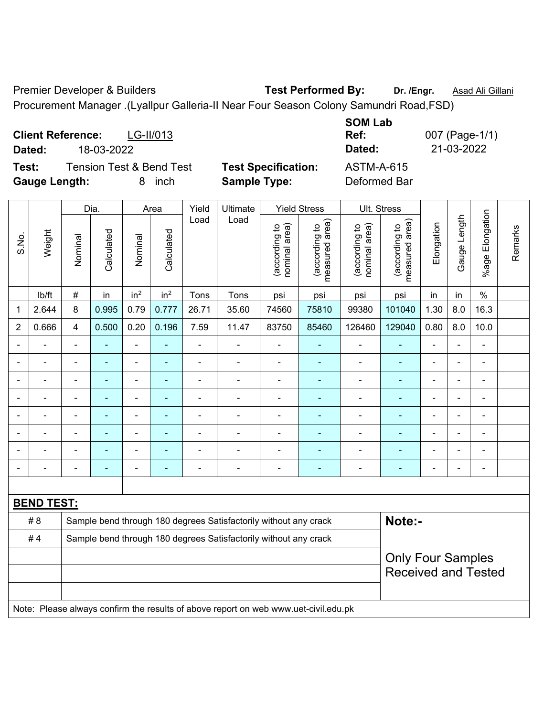Premier Developer & Builders **Test Performed By:** Dr. /Engr. **Asad Ali Gillani** 

Procurement Manager .(Lyallpur Galleria-II Near Four Season Colony Samundri Road,FSD)

**Client Reference:** LG-II/013 **SOM Lab Ref:** 007 (Page-1/1) **Dated:** 18-03-2022 **Dated:** 21-03-2022 **Test:** Tension Test & Bend Test **Test Specification:** ASTM-A-615 **Gauge Length:** 8 inch **Sample Type:** Deformed Bar

|                |                   |                          | Dia.           |                 | Area            | Yield                    | Ultimate                                                                            |                                | <b>Yield Stress</b>             |                                | Ult. Stress                     |                |                          |                              |         |
|----------------|-------------------|--------------------------|----------------|-----------------|-----------------|--------------------------|-------------------------------------------------------------------------------------|--------------------------------|---------------------------------|--------------------------------|---------------------------------|----------------|--------------------------|------------------------------|---------|
| S.No.          | Weight            | Nominal                  | Calculated     | Nominal         | Calculated      | Load                     | Load                                                                                | nominal area)<br>(according to | measured area)<br>(according to | nominal area)<br>(according to | measured area)<br>(according to | Elongation     | Gauge Length             | Elongation<br>$%$ age $ $    | Remarks |
|                | lb/ft             | $\#$                     | in             | in <sup>2</sup> | in <sup>2</sup> | Tons                     | Tons                                                                                | psi                            | psi                             | psi                            | psi                             | in             | in                       | $\%$                         |         |
| 1              | 2.644             | 8                        | 0.995          | 0.79            | 0.777           | 26.71                    | 35.60                                                                               | 74560                          | 75810                           | 99380                          | 101040                          | 1.30           | 8.0                      | 16.3                         |         |
| $\overline{2}$ | 0.666             | $\overline{4}$           | 0.500          | 0.20            | 0.196           | 7.59                     | 11.47                                                                               | 83750                          | 85460                           | 126460                         | 129040                          | 0.80           | 8.0                      | 10.0                         |         |
|                | ÷                 | $\blacksquare$           | $\blacksquare$ | ä,              | ä,              | $\overline{\phantom{a}}$ | $\blacksquare$                                                                      | ä,                             | $\blacksquare$                  | $\overline{\phantom{a}}$       | $\blacksquare$                  | $\blacksquare$ | $\blacksquare$           | $\blacksquare$               |         |
|                | $\blacksquare$    | $\overline{\phantom{0}}$ | ۰              | $\blacksquare$  | $\overline{a}$  | $\overline{\phantom{a}}$ | ÷,                                                                                  | $\blacksquare$                 | $\overline{\phantom{a}}$        | $\qquad \qquad \blacksquare$   | ٠                               | $\blacksquare$ | $\overline{\phantom{a}}$ | $\qquad \qquad \blacksquare$ |         |
|                | ÷                 | ä,                       | $\blacksquare$ | $\blacksquare$  | $\blacksquare$  | ä,                       | $\blacksquare$                                                                      | $\blacksquare$                 | ÷,                              | $\blacksquare$                 | ÷                               | $\blacksquare$ | ÷,                       | $\blacksquare$               |         |
|                | $\blacksquare$    | $\blacksquare$           | ÷,             | $\blacksquare$  | ٠               | $\blacksquare$           | ÷,                                                                                  | $\blacksquare$                 | $\overline{\phantom{a}}$        | $\blacksquare$                 | $\blacksquare$                  | $\blacksquare$ | i.                       | ä,                           |         |
|                |                   | $\blacksquare$           | ÷              |                 |                 | ä,                       | $\blacksquare$                                                                      |                                | $\overline{\phantom{a}}$        | $\blacksquare$                 | $\blacksquare$                  |                |                          | ÷                            |         |
|                |                   |                          | $\blacksquare$ | L,              |                 |                          |                                                                                     |                                |                                 | $\blacksquare$                 | $\blacksquare$                  |                |                          | $\blacksquare$               |         |
|                |                   |                          |                | ÷               |                 |                          | $\blacksquare$                                                                      |                                |                                 | $\blacksquare$                 |                                 |                |                          | L.                           |         |
|                |                   |                          | $\blacksquare$ | ۰               | ÷               | -                        | $\blacksquare$                                                                      | ٠                              | $\overline{\phantom{a}}$        | ۰                              | $\overline{\phantom{0}}$        | $\blacksquare$ | $\blacksquare$           | ÷                            |         |
|                |                   |                          |                |                 |                 |                          |                                                                                     |                                |                                 |                                |                                 |                |                          |                              |         |
|                | <b>BEND TEST:</b> |                          |                |                 |                 |                          |                                                                                     |                                |                                 |                                |                                 |                |                          |                              |         |
|                | # 8               |                          |                |                 |                 |                          | Sample bend through 180 degrees Satisfactorily without any crack                    |                                |                                 |                                | Note:-                          |                |                          |                              |         |
|                | #4                |                          |                |                 |                 |                          | Sample bend through 180 degrees Satisfactorily without any crack                    |                                |                                 |                                |                                 |                |                          |                              |         |
|                |                   |                          |                |                 |                 |                          |                                                                                     |                                |                                 |                                | <b>Only Four Samples</b>        |                |                          |                              |         |
|                |                   |                          |                |                 |                 |                          |                                                                                     |                                |                                 |                                | <b>Received and Tested</b>      |                |                          |                              |         |
|                |                   |                          |                |                 |                 |                          |                                                                                     |                                |                                 |                                |                                 |                |                          |                              |         |
|                |                   |                          |                |                 |                 |                          | Note: Please always confirm the results of above report on web www.uet-civil.edu.pk |                                |                                 |                                |                                 |                |                          |                              |         |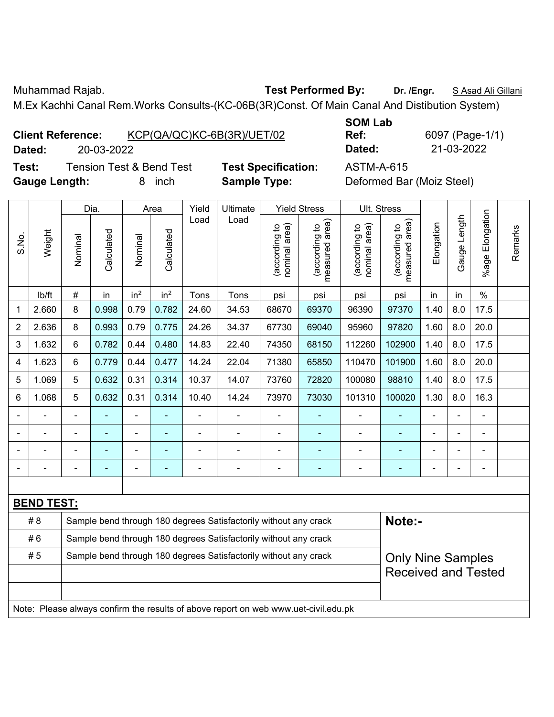Muhammad Rajab. **Test Performed By: Dr. /Engr.** S Asad Ali Gillani

M.Ex Kachhi Canal Rem.Works Consults-(KC-06B(3R)Const. Of Main Canal And Distibution System)

| <b>Client Reference:</b> |  |  | KCP(QA/QC)KC-6B(3R)/UET/02 |
|--------------------------|--|--|----------------------------|
|                          |  |  |                            |

**SOM Lab Dated:** 20-03-2022 **Dated:** 21-03-2022

**Ref:** 6097 (Page-1/1)

**Test:** Tension Test & Bend Test **Test Specification:** ASTM-A-615 **Gauge Length:** 8 inch **Sample Type:** Deformed Bar (Moiz Steel)

|                |                   |                | Dia.       | Area            |                 | Yield<br>Ultimate |                                                                                     | <b>Yield Stress</b>            |                                 |                                | Ult. Stress                     |            |              |                       |         |
|----------------|-------------------|----------------|------------|-----------------|-----------------|-------------------|-------------------------------------------------------------------------------------|--------------------------------|---------------------------------|--------------------------------|---------------------------------|------------|--------------|-----------------------|---------|
| S.No.          | Weight            | Nominal        | Calculated | Nominal         | Calculated      | Load              | Load                                                                                | (according to<br>nominal area) | (according to<br>measured area) | (according to<br>nominal area) | (according to<br>measured area) | Elongation | Gauge Length | Elongation<br>$%$ age | Remarks |
|                | lb/ft             | $\#$           | in         | in <sup>2</sup> | in <sup>2</sup> | Tons              | Tons                                                                                | psi                            | psi                             | psi                            | psi                             | in         | in           | $\frac{0}{0}$         |         |
| 1              | 2.660             | 8              | 0.998      | 0.79            | 0.782           | 24.60             | 34.53                                                                               | 68670                          | 69370                           | 96390                          | 97370                           | 1.40       | 8.0          | 17.5                  |         |
| $\overline{2}$ | 2.636             | 8              | 0.993      | 0.79            | 0.775           | 24.26             | 34.37                                                                               | 67730                          | 69040                           | 95960                          | 97820                           | 1.60       | 8.0          | 20.0                  |         |
| 3              | 1.632             | 6              | 0.782      | 0.44            | 0.480           | 14.83             | 22.40                                                                               | 74350                          | 68150                           | 112260                         | 102900                          | 1.40       | 8.0          | 17.5                  |         |
| 4              | 1.623             | 6              | 0.779      | 0.44            | 0.477           | 14.24             | 22.04                                                                               | 71380                          | 65850                           | 110470                         | 101900                          | 1.60       | 8.0          | 20.0                  |         |
| 5              | 1.069             | 5              | 0.632      | 0.31            | 0.314           | 10.37             | 14.07                                                                               | 73760                          | 72820                           | 100080                         | 98810                           | 1.40       | 8.0          | 17.5                  |         |
| 6              | 1.068             | 5              | 0.632      | 0.31            | 0.314           | 10.40             | 14.24                                                                               | 73970                          | 73030                           | 101310                         | 100020                          | 1.30       | 8.0          | 16.3                  |         |
|                |                   | $\blacksquare$ | ÷,         | $\blacksquare$  |                 | ä,                | $\blacksquare$                                                                      | L,                             | ÷                               | $\blacksquare$                 | ÷,                              | ä,         |              | $\blacksquare$        |         |
|                |                   |                |            |                 |                 |                   | $\blacksquare$                                                                      | ÷                              | $\blacksquare$                  | $\blacksquare$                 |                                 |            |              |                       |         |
|                |                   |                |            |                 |                 |                   | $\blacksquare$                                                                      | Ē,                             |                                 |                                |                                 |            |              |                       |         |
|                |                   |                |            | ÷               |                 |                   | $\blacksquare$                                                                      | ä,                             | $\blacksquare$                  | $\blacksquare$                 | $\blacksquare$                  | ä,         |              | $\blacksquare$        |         |
|                |                   |                |            |                 |                 |                   |                                                                                     |                                |                                 |                                |                                 |            |              |                       |         |
|                | <b>BEND TEST:</b> |                |            |                 |                 |                   |                                                                                     |                                |                                 |                                |                                 |            |              |                       |         |
|                | # 8               |                |            |                 |                 |                   | Sample bend through 180 degrees Satisfactorily without any crack                    |                                |                                 |                                | Note:-                          |            |              |                       |         |
|                | #6                |                |            |                 |                 |                   | Sample bend through 180 degrees Satisfactorily without any crack                    |                                |                                 |                                |                                 |            |              |                       |         |
|                | #5                |                |            |                 |                 |                   | Sample bend through 180 degrees Satisfactorily without any crack                    |                                |                                 |                                | <b>Only Nine Samples</b>        |            |              |                       |         |
|                |                   |                |            |                 |                 |                   |                                                                                     |                                |                                 |                                | <b>Received and Tested</b>      |            |              |                       |         |
|                |                   |                |            |                 |                 |                   |                                                                                     |                                |                                 |                                |                                 |            |              |                       |         |
|                |                   |                |            |                 |                 |                   | Note: Please always confirm the results of above report on web www.uet-civil.edu.pk |                                |                                 |                                |                                 |            |              |                       |         |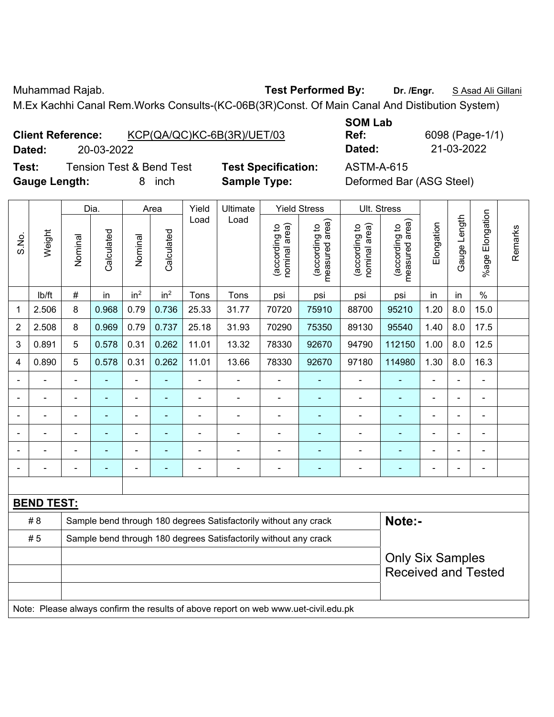Muhammad Rajab. **Test Performed By: Dr. /Engr.** S Asad Ali Gillani

M.Ex Kachhi Canal Rem.Works Consults-(KC-06B(3R)Const. Of Main Canal And Distibution System)

| <b>Client Reference:</b> |  | KCP(QA/QC)KC-6B(3R)/UET/03 |
|--------------------------|--|----------------------------|
|                          |  |                            |

**SOM Lab Ref:** 6098 (Page-1/1) **Dated:** 20-03-2022 **Dated:** 21-03-2022

**Test:** Tension Test & Bend Test **Test Specification:** ASTM-A-615 **Gauge Length:** 8 inch **Sample Type:** Deformed Bar (ASG Steel)

|                   |                                                                                     |                            | Dia.           | Area            |                 | Yield          | Ultimate                                                         | <b>Yield Stress</b>            |                                 |                                | Ult. Stress                     |                |                |                       |         |
|-------------------|-------------------------------------------------------------------------------------|----------------------------|----------------|-----------------|-----------------|----------------|------------------------------------------------------------------|--------------------------------|---------------------------------|--------------------------------|---------------------------------|----------------|----------------|-----------------------|---------|
| S.No.             | Weight                                                                              | Nominal                    | Calculated     | Nominal         | Calculated      | Load           | Load                                                             | nominal area)<br>(according to | (according to<br>measured area) | nominal area)<br>(according to | (according to<br>measured area) | Elongation     | Gauge Length   | Elongation<br>$%$ age | Remarks |
|                   | lb/ft                                                                               | $\#$                       | in             | in <sup>2</sup> | in <sup>2</sup> | Tons           | Tons                                                             | psi                            | psi                             | psi                            | psi                             | in             | in             | $\%$                  |         |
| 1                 | 2.506                                                                               | 8                          | 0.968          | 0.79            | 0.736           | 25.33          | 31.77                                                            | 70720                          | 75910                           | 88700                          | 95210                           | 1.20           | 8.0            | 15.0                  |         |
| $\overline{2}$    | 2.508                                                                               | 8                          | 0.969          | 0.79            | 0.737           | 25.18          | 31.93                                                            | 70290                          | 75350                           | 89130                          | 95540                           | 1.40           | 8.0            | 17.5                  |         |
| 3                 | 0.891                                                                               | 5                          | 0.578          | 0.31            | 0.262           | 11.01          | 13.32                                                            | 78330                          | 92670                           | 94790                          | 112150                          | 1.00           | 8.0            | 12.5                  |         |
| 4                 | 0.890                                                                               | 5                          | 0.578          | 0.31            | 0.262           | 11.01          | 13.66                                                            | 78330                          | 92670                           | 97180                          | 114980                          | 1.30           | 8.0            | 16.3                  |         |
| $\blacksquare$    |                                                                                     | $\blacksquare$             | ä,             | $\blacksquare$  | ٠               | $\blacksquare$ | ÷                                                                | ä,                             | $\blacksquare$                  | $\blacksquare$                 | $\blacksquare$                  | ä,             | $\blacksquare$ | $\blacksquare$        |         |
|                   |                                                                                     | ä,                         | $\blacksquare$ | $\blacksquare$  | ۰               | $\blacksquare$ | ä,                                                               | $\blacksquare$                 |                                 | $\blacksquare$                 | ä,                              | $\blacksquare$ |                | $\blacksquare$        |         |
|                   |                                                                                     | ä,                         | ÷,             | $\blacksquare$  | ۰               | $\overline{a}$ | ÷                                                                | $\blacksquare$                 | $\blacksquare$                  | $\blacksquare$                 | $\blacksquare$                  | ä,             |                | $\blacksquare$        |         |
|                   |                                                                                     |                            | $\blacksquare$ | $\blacksquare$  |                 |                | $\blacksquare$                                                   | $\blacksquare$                 |                                 | $\blacksquare$                 | $\blacksquare$                  |                |                | ÷                     |         |
|                   |                                                                                     |                            |                | ÷               |                 |                |                                                                  | $\blacksquare$                 |                                 |                                |                                 |                |                | ÷                     |         |
|                   |                                                                                     | $\blacksquare$             |                | $\blacksquare$  | ۰               |                | Ē,                                                               | $\blacksquare$                 | $\overline{\phantom{0}}$        | $\overline{a}$                 | $\blacksquare$                  | ۰              | $\blacksquare$ | ÷,                    |         |
|                   |                                                                                     |                            |                |                 |                 |                |                                                                  |                                |                                 |                                |                                 |                |                |                       |         |
| <b>BEND TEST:</b> |                                                                                     |                            |                |                 |                 |                |                                                                  |                                |                                 |                                |                                 |                |                |                       |         |
|                   | # 8                                                                                 |                            |                |                 |                 |                | Sample bend through 180 degrees Satisfactorily without any crack |                                |                                 |                                | Note:-                          |                |                |                       |         |
|                   | #5                                                                                  |                            |                |                 |                 |                | Sample bend through 180 degrees Satisfactorily without any crack |                                |                                 |                                |                                 |                |                |                       |         |
|                   |                                                                                     |                            |                |                 |                 |                |                                                                  |                                |                                 |                                | <b>Only Six Samples</b>         |                |                |                       |         |
|                   |                                                                                     | <b>Received and Tested</b> |                |                 |                 |                |                                                                  |                                |                                 |                                |                                 |                |                |                       |         |
|                   |                                                                                     |                            |                |                 |                 |                |                                                                  |                                |                                 |                                |                                 |                |                |                       |         |
|                   | Note: Please always confirm the results of above report on web www.uet-civil.edu.pk |                            |                |                 |                 |                |                                                                  |                                |                                 |                                |                                 |                |                |                       |         |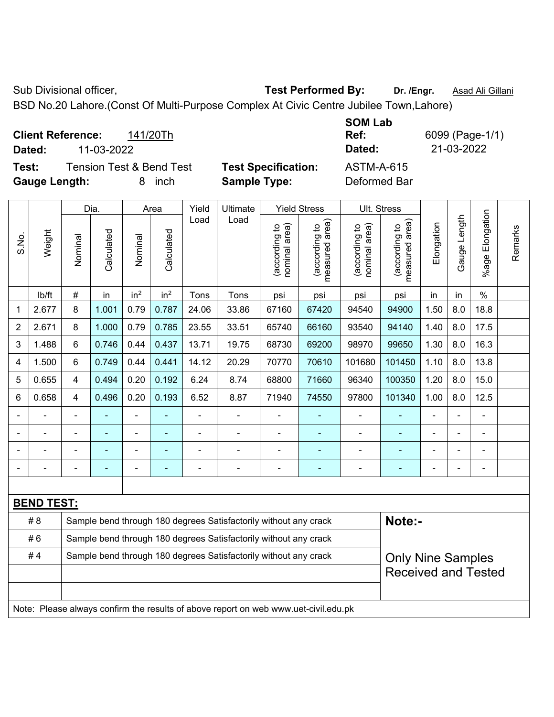Sub Divisional officer, **Test Performed By:** Dr. /Engr. **Asad Ali Gillani** Collection Association Association Association Association Association Association Association Association Association Association Association Asso

BSD No.20 Lahore.(Const Of Multi-Purpose Complex At Civic Centre Jubilee Town,Lahore)

**Client Reference:** 141/20Th **Dated:** 11-03-2022 **Dated:** 21-03-2022 **Test:** Tension Test & Bend Test **Test Specification:** ASTM-A-615

**Gauge Length:** 8 inch **Sample Type:** Deformed Bar

Τ

 $\top$ 

**SOM Lab Ref:** 6099 (Page-1/1)

Т

Τ

┬

Τ

|                                                                         |                   | Dia.           |            | Area            |                 | Yield | Ultimate                                                         |                                | <b>Yield Stress</b>                         |                                | Ult. Stress                     |            |               |                       |         |
|-------------------------------------------------------------------------|-------------------|----------------|------------|-----------------|-----------------|-------|------------------------------------------------------------------|--------------------------------|---------------------------------------------|--------------------------------|---------------------------------|------------|---------------|-----------------------|---------|
| S.No.                                                                   | Weight            | Nominal        | Calculated | Nominal         | Calculated      | Load  | Load                                                             | (according to<br>nominal area) | (according to<br>neasured area)<br>measured | (according to<br>nominal area) | measured area)<br>(according to | Elongation | Gauge Length  | Elongation<br>$%$ age | Remarks |
|                                                                         | lb/ft             | $\#$           | in         | in <sup>2</sup> | in <sup>2</sup> | Tons  | Tons                                                             | psi                            | psi                                         | psi                            | psi                             | in         | in            | $\%$                  |         |
| 1                                                                       | 2.677             | 8              | 1.001      | 0.79            | 0.787           | 24.06 | 33.86                                                            | 67160                          | 67420                                       | 94540                          | 94900                           | 1.50       | 8.0           | 18.8                  |         |
| $\overline{2}$                                                          | 2.671             | 8              | 1.000      | 0.79            | 0.785           | 23.55 | 33.51                                                            | 65740                          | 66160                                       | 93540                          | 94140                           | 1.40       | 8.0           | 17.5                  |         |
| 3                                                                       | 1.488             | 6              | 0.746      | 0.44            | 0.437           | 13.71 | 19.75                                                            | 68730                          | 69200                                       | 98970                          | 99650                           | 1.30       | 8.0           | 16.3                  |         |
| 4                                                                       | 1.500             | 6              | 0.749      | 0.44            | 0.441           | 14.12 | 20.29                                                            | 70770                          | 70610                                       | 101680                         | 101450                          | 1.10       | 8.0           | 13.8                  |         |
| 5                                                                       | 0.655             | 4              | 0.494      | 0.20            | 0.192           | 6.24  | 8.74                                                             | 68800                          | 71660                                       | 96340                          | 100350                          | 1.20       | 8.0           | 15.0                  |         |
| 6                                                                       | 0.658             | 4              | 0.496      | 0.20            | 0.193           | 6.52  | 8.87                                                             | 71940                          | 74550                                       | 97800                          | 101340                          | 1.00       | 8.0           | 12.5                  |         |
|                                                                         |                   | ä,             |            | $\blacksquare$  |                 | Ē,    | ÷,                                                               |                                |                                             | $\blacksquare$                 | ٠                               | ä,         | $\frac{1}{2}$ | $\blacksquare$        |         |
|                                                                         |                   |                |            | $\blacksquare$  |                 |       | $\blacksquare$                                                   |                                |                                             |                                | ٠                               |            | ۰             | $\blacksquare$        |         |
|                                                                         |                   | $\blacksquare$ | ÷          | $\blacksquare$  | $\blacksquare$  |       |                                                                  |                                |                                             | $\blacksquare$                 | ٠                               |            | ÷             | $\blacksquare$        |         |
|                                                                         |                   | Ē,             |            | $\blacksquare$  | $\blacksquare$  |       | ÷,                                                               |                                | $\blacksquare$                              | Ē,                             | $\blacksquare$                  |            |               | $\blacksquare$        |         |
|                                                                         |                   |                |            |                 |                 |       |                                                                  |                                |                                             |                                |                                 |            |               |                       |         |
|                                                                         | <b>BEND TEST:</b> |                |            |                 |                 |       |                                                                  |                                |                                             |                                |                                 |            |               |                       |         |
| # 8<br>Sample bend through 180 degrees Satisfactorily without any crack |                   |                |            |                 |                 |       |                                                                  |                                |                                             | Note:-                         |                                 |            |               |                       |         |
| #6<br>Sample bend through 180 degrees Satisfactorily without any crack  |                   |                |            |                 |                 |       |                                                                  |                                |                                             |                                |                                 |            |               |                       |         |
|                                                                         | #4                |                |            |                 |                 |       | Sample bend through 180 degrees Satisfactorily without any crack |                                |                                             |                                | <b>Only Nine Samples</b>        |            |               |                       |         |
|                                                                         |                   |                |            |                 |                 |       |                                                                  |                                |                                             |                                | <b>Received and Tested</b>      |            |               |                       |         |
|                                                                         |                   |                |            |                 |                 |       |                                                                  |                                |                                             |                                |                                 |            |               |                       |         |

Note: Please always confirm the results of above report on web www.uet-civil.edu.pk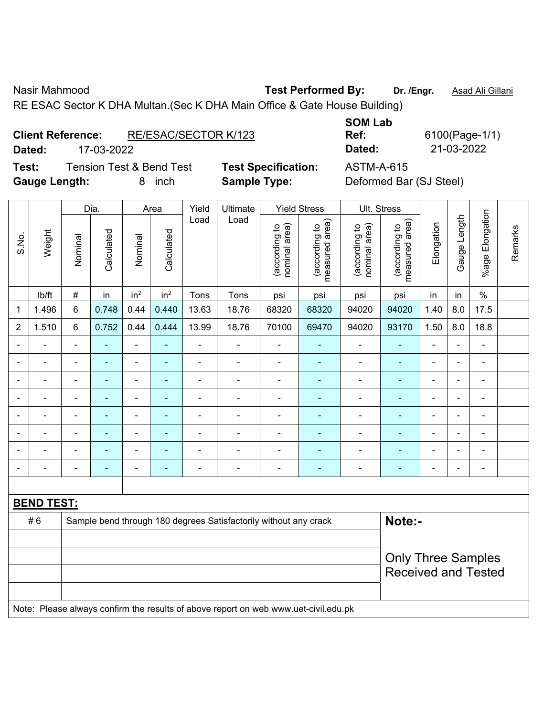Nasir Mahmood **Test Performed By:** Dr. /Engr. **Asad Ali Gillani** Associated By: Dr. /Engr. **Asad Ali Gillani** 

RE ESAC Sector K DHA Multan.(Sec K DHA Main Office & Gate House Building)

| <b>Client Reference:</b> | RE/ESAC/SECTOR K/123 |
|--------------------------|----------------------|
|                          |                      |

**Test:** Tension Test & Bend Test **Test Specification:** ASTM-A-615 **Gauge Length:** 8 inch **Sample Type:** Deformed Bar (SJ Steel)

**SOM Lab Ref:** 6100(Page-1/1) **Dated:** 17-03-2022 **Dated:** 21-03-2022

|                | Weight            | Dia.                                                                                |                          | Area            |                 | Yield          | Ultimate<br>Load                                                 |                                | <b>Yield Stress</b>             |                                | Ult. Stress                                 |                |                |                          |         |  |
|----------------|-------------------|-------------------------------------------------------------------------------------|--------------------------|-----------------|-----------------|----------------|------------------------------------------------------------------|--------------------------------|---------------------------------|--------------------------------|---------------------------------------------|----------------|----------------|--------------------------|---------|--|
| S.No.          |                   | Nominal                                                                             | Calculated               | Nominal         | Calculated      | Load           |                                                                  | nominal area)<br>(according to | measured area)<br>(according to | (according to<br>nominal area) | (according to<br>neasured area)<br>measured | Elongation     | Gauge Length   | %age Elongation          | Remarks |  |
|                | Ib/ft             | #                                                                                   | in                       | in <sup>2</sup> | in <sup>2</sup> | Tons           | Tons                                                             | psi                            | psi                             | psi                            | psi                                         | in             | in             | $\%$                     |         |  |
| 1              | 1.496             | 6                                                                                   | 0.748                    | 0.44            | 0.440           | 13.63          | 18.76                                                            | 68320                          | 68320                           | 94020                          | 94020                                       | 1.40           | 8.0            | 17.5                     |         |  |
| $\overline{2}$ | 1.510             | $\,6\,$                                                                             | 0.752                    | 0.44            | 0.444           | 13.99          | 18.76                                                            | 70100                          | 69470                           | 94020                          | 93170                                       | 1.50           | 8.0            | 18.8                     |         |  |
|                |                   |                                                                                     |                          |                 |                 | L.             | L.                                                               | ä,                             |                                 | $\blacksquare$                 | L.                                          | L.             |                |                          |         |  |
|                |                   |                                                                                     |                          | $\blacksquare$  |                 |                | $\blacksquare$                                                   | $\blacksquare$                 |                                 | ä,                             |                                             |                |                |                          |         |  |
| $\blacksquare$ | $\blacksquare$    | $\blacksquare$                                                                      | $\overline{\phantom{0}}$ | ÷               | $\blacksquare$  | $\blacksquare$ | ÷                                                                | $\blacksquare$                 | ۰                               | ÷                              | $\blacksquare$                              | $\blacksquare$ | $\blacksquare$ | $\blacksquare$           |         |  |
|                | $\blacksquare$    | $\blacksquare$                                                                      | $\blacksquare$           | ÷               | $\blacksquare$  | $\blacksquare$ | $\blacksquare$                                                   | $\blacksquare$                 | ۰                               | $\blacksquare$                 | $\blacksquare$                              | $\blacksquare$ |                | ÷,                       |         |  |
|                | $\blacksquare$    | $\blacksquare$                                                                      | ä,                       | ÷               | $\blacksquare$  | $\overline{a}$ | $\blacksquare$                                                   | $\blacksquare$                 | ä,                              | $\blacksquare$                 | $\blacksquare$                              | $\blacksquare$ |                | $\blacksquare$           |         |  |
|                | $\blacksquare$    |                                                                                     |                          | $\blacksquare$  | $\blacksquare$  | $\blacksquare$ | ÷                                                                | $\blacksquare$                 |                                 | Ē,                             | $\blacksquare$                              |                |                | $\blacksquare$           |         |  |
|                |                   |                                                                                     |                          |                 |                 |                |                                                                  |                                |                                 |                                |                                             |                |                |                          |         |  |
| $\blacksquare$ | $\blacksquare$    | $\overline{a}$                                                                      | $\blacksquare$           | ÷               | $\blacksquare$  | ÷              | ÷                                                                | $\blacksquare$                 | $\blacksquare$                  | $\blacksquare$                 | $\blacksquare$                              | $\blacksquare$ | $\blacksquare$ | $\overline{\phantom{a}}$ |         |  |
|                |                   |                                                                                     |                          |                 |                 |                |                                                                  |                                |                                 |                                |                                             |                |                |                          |         |  |
|                | <b>BEND TEST:</b> |                                                                                     |                          |                 |                 |                |                                                                  |                                |                                 |                                |                                             |                |                |                          |         |  |
|                | #6                |                                                                                     |                          |                 |                 |                | Sample bend through 180 degrees Satisfactorily without any crack |                                |                                 |                                | Note:-                                      |                |                |                          |         |  |
|                |                   |                                                                                     |                          |                 |                 |                |                                                                  |                                |                                 |                                |                                             |                |                |                          |         |  |
|                |                   |                                                                                     |                          |                 |                 |                |                                                                  |                                |                                 | <b>Only Three Samples</b>      |                                             |                |                |                          |         |  |
|                |                   |                                                                                     |                          |                 |                 |                |                                                                  |                                | <b>Received and Tested</b>      |                                |                                             |                |                |                          |         |  |
|                |                   |                                                                                     |                          |                 |                 |                |                                                                  |                                |                                 |                                |                                             |                |                |                          |         |  |
|                |                   | Note: Please always confirm the results of above report on web www.uet-civil.edu.pk |                          |                 |                 |                |                                                                  |                                |                                 |                                |                                             |                |                |                          |         |  |